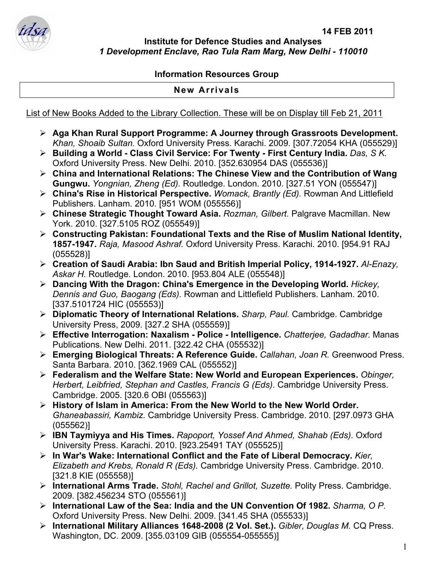

## **Institute for Defence Studies and Analyses**  *1 Development Enclave, Rao Tula Ram Marg, New Delhi - 110010*

## **Information Resources Group**

## **New Arrivals**

List of New Books Added to the Library Collection. These will be on Display till Feb 21, 2011

- ¾ **Aga Khan Rural Support Programme: A Journey through Grassroots Development.**  *Khan, Shoaib Sultan.* Oxford University Press. Karachi. 2009. [307.72054 KHA (055529)]
- ¾ **Building a World Class Civil Service: For Twenty First Century India.** *Das, S K.*  Oxford University Press. New Delhi. 2010. [352.630954 DAS (055536)]
- ¾ **China and International Relations: The Chinese View and the Contribution of Wang Gungwu.** *Yongnian, Zheng (Ed).* Routledge. London. 2010. [327.51 YON (055547)]
- ¾ **China's Rise in Historical Perspective.** *Womack, Brantly (Ed).* Rowman And Littlefield Publishers. Lanham. 2010. [951 WOM (055556)]
- ¾ **Chinese Strategic Thought Toward Asia.** *Rozman, Gilbert.* Palgrave Macmillan. New York. 2010. [327.5105 ROZ (055549)]
- ¾ **Constructing Pakistan: Foundational Texts and the Rise of Muslim National Identity, 1857-1947.** *Raja, Masood Ashraf.* Oxford University Press. Karachi. 2010. [954.91 RAJ (055528)]
- ¾ **Creation of Saudi Arabia: Ibn Saud and British Imperial Policy, 1914-1927.** *Al-Enazy, Askar H.* Routledge. London. 2010. [953.804 ALE (055548)]
- ¾ **Dancing With the Dragon: China's Emergence in the Developing World.** *Hickey, Dennis and Guo, Baogang (Eds).* Rowman and Littlefield Publishers. Lanham. 2010. [337.5101724 HIC (055553)]
- ¾ **Diplomatic Theory of International Relations.** *Sharp, Paul.* Cambridge. Cambridge University Press, 2009. [327.2 SHA (055559)]
- ¾ **Effective Interrogation: Naxalism Police Intelligence.** *Chatterjee, Gadadhar.* Manas Publications. New Delhi. 2011. [322.42 CHA (055532)]
- ¾ **Emerging Biological Threats: A Reference Guide.** *Callahan, Joan R.* Greenwood Press. Santa Barbara. 2010. [362.1969 CAL (055552)]
- ¾ **Federalism and the Welfare State: New World and European Experiences.** *Obinger, Herbert, Leibfried, Stephan and Castles, Francis G (Eds).* Cambridge University Press. Cambridge. 2005. [320.6 OBI (055563)]
- ¾ **History of Islam in America: From the New World to the New World Order.**  *Ghaneabassiri, Kambiz.* Cambridge University Press. Cambridge. 2010. [297.0973 GHA (055562)]
- ¾ **IBN Taymiyya and His Times.** *Rapoport, Yossef And Ahmed, Shahab (Eds).* Oxford University Press. Karachi. 2010. [923.25491 TAY (055525)]
- ¾ **In War's Wake: International Conflict and the Fate of Liberal Democracy.** *Kier, Elizabeth and Krebs, Ronald R (Eds).* Cambridge University Press. Cambridge. 2010. [321.8 KIE (055558)]
- ¾ **International Arms Trade.** *Stohl, Rachel and Grillot, Suzette.* Polity Press. Cambridge. 2009. [382.456234 STO (055561)]
- ¾ **International Law of the Sea: India and the UN Convention Of 1982.** *Sharma, O P.*  Oxford University Press. New Delhi. 2009. [341.45 SHA (055533)]
- ¾ **International Military Alliances 1648-2008 (2 Vol. Set.).** *Gibler, Douglas M.* CQ Press. Washington, DC. 2009. [355.03109 GIB (055554-055555)]